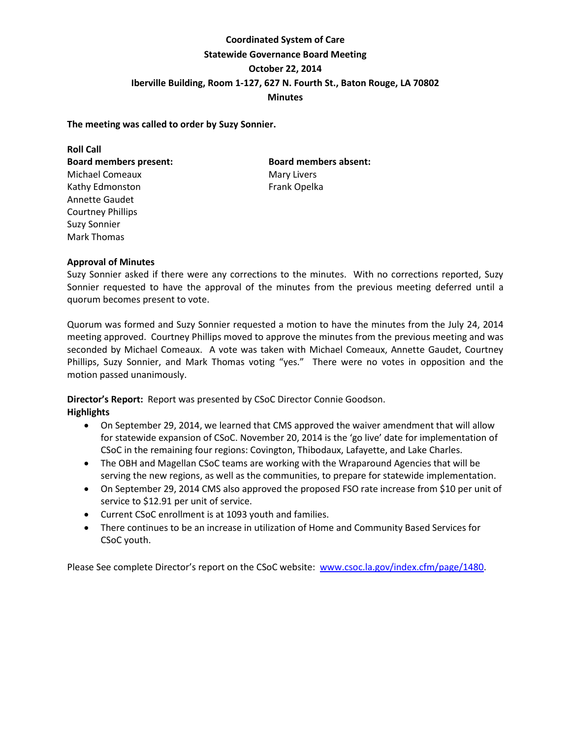# **Coordinated System of Care Statewide Governance Board Meeting October 22, 2014 Iberville Building, Room 1-127, 627 N. Fourth St., Baton Rouge, LA 70802 Minutes**

# **The meeting was called to order by Suzy Sonnier.**

**Roll Call Board members present: Board members absent:**  Michael Comeaux **Mary Livers** Mary Livers Kathy Edmonston Frank Opelka Annette Gaudet Courtney Phillips Suzy Sonnier Mark Thomas

# **Approval of Minutes**

Suzy Sonnier asked if there were any corrections to the minutes. With no corrections reported, Suzy Sonnier requested to have the approval of the minutes from the previous meeting deferred until a quorum becomes present to vote.

Quorum was formed and Suzy Sonnier requested a motion to have the minutes from the July 24, 2014 meeting approved. Courtney Phillips moved to approve the minutes from the previous meeting and was seconded by Michael Comeaux. A vote was taken with Michael Comeaux, Annette Gaudet, Courtney Phillips, Suzy Sonnier, and Mark Thomas voting "yes." There were no votes in opposition and the motion passed unanimously.

**Director's Report:** Report was presented by CSoC Director Connie Goodson. **Highlights**

- On September 29, 2014, we learned that CMS approved the waiver amendment that will allow for statewide expansion of CSoC. November 20, 2014 is the 'go live' date for implementation of CSoC in the remaining four regions: Covington, Thibodaux, Lafayette, and Lake Charles.
- The OBH and Magellan CSoC teams are working with the Wraparound Agencies that will be serving the new regions, as well as the communities, to prepare for statewide implementation.
- On September 29, 2014 CMS also approved the proposed FSO rate increase from \$10 per unit of service to \$12.91 per unit of service.
- Current CSoC enrollment is at 1093 youth and families.
- There continues to be an increase in utilization of Home and Community Based Services for CSoC youth.

Please See complete Director's report on the CSoC website: [www.csoc.la.gov/index.cfm/page/1480.](http://www.csoc.la.gov/index.cfm/page/1480)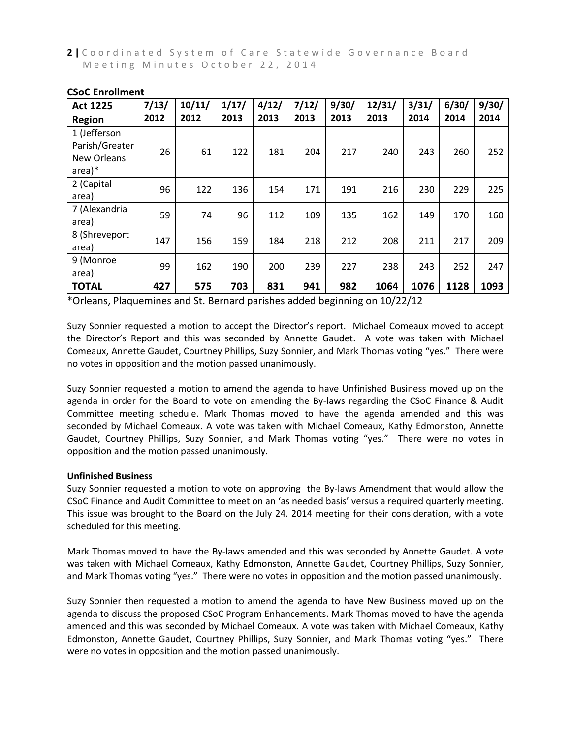| <b>Act 1225</b>                                                            | 7/13/<br>2012 | 10/11/<br>2012 | 1/17/<br>2013 | 4/12/<br>2013 | 7/12/<br>2013 | 9/30/<br>2013 | 12/31/<br>2013 | 3/31/<br>2014 | 6/30/<br>2014 | 9/30/<br>2014 |
|----------------------------------------------------------------------------|---------------|----------------|---------------|---------------|---------------|---------------|----------------|---------------|---------------|---------------|
| <b>Region</b><br>1 (Jefferson<br>Parish/Greater<br>New Orleans<br>$area)*$ | 26            | 61             | 122           | 181           | 204           | 217           | 240            | 243           | 260           | 252           |
| 2 (Capital<br>area)                                                        | 96            | 122            | 136           | 154           | 171           | 191           | 216            | 230           | 229           | 225           |
| 7 (Alexandria<br>area)                                                     | 59            | 74             | 96            | 112           | 109           | 135           | 162            | 149           | 170           | 160           |
| 8 (Shreveport<br>area)                                                     | 147           | 156            | 159           | 184           | 218           | 212           | 208            | 211           | 217           | 209           |
| 9 (Monroe<br>area)                                                         | 99            | 162            | 190           | 200           | 239           | 227           | 238            | 243           | 252           | 247           |
| <b>TOTAL</b>                                                               | 427           | 575            | 703           | 831           | 941           | 982           | 1064           | 1076          | 1128          | 1093          |

# **CSoC Enrollment**

\*Orleans, Plaquemines and St. Bernard parishes added beginning on 10/22/12

Suzy Sonnier requested a motion to accept the Director's report. Michael Comeaux moved to accept the Director's Report and this was seconded by Annette Gaudet. A vote was taken with Michael Comeaux, Annette Gaudet, Courtney Phillips, Suzy Sonnier, and Mark Thomas voting "yes." There were no votes in opposition and the motion passed unanimously.

Suzy Sonnier requested a motion to amend the agenda to have Unfinished Business moved up on the agenda in order for the Board to vote on amending the By-laws regarding the CSoC Finance & Audit Committee meeting schedule. Mark Thomas moved to have the agenda amended and this was seconded by Michael Comeaux. A vote was taken with Michael Comeaux, Kathy Edmonston, Annette Gaudet, Courtney Phillips, Suzy Sonnier, and Mark Thomas voting "yes." There were no votes in opposition and the motion passed unanimously.

# **Unfinished Business**

Suzy Sonnier requested a motion to vote on approving the By-laws Amendment that would allow the CSoC Finance and Audit Committee to meet on an 'as needed basis' versus a required quarterly meeting. This issue was brought to the Board on the July 24. 2014 meeting for their consideration, with a vote scheduled for this meeting.

Mark Thomas moved to have the By-laws amended and this was seconded by Annette Gaudet. A vote was taken with Michael Comeaux, Kathy Edmonston, Annette Gaudet, Courtney Phillips, Suzy Sonnier, and Mark Thomas voting "yes." There were no votes in opposition and the motion passed unanimously.

Suzy Sonnier then requested a motion to amend the agenda to have New Business moved up on the agenda to discuss the proposed CSoC Program Enhancements. Mark Thomas moved to have the agenda amended and this was seconded by Michael Comeaux. A vote was taken with Michael Comeaux, Kathy Edmonston, Annette Gaudet, Courtney Phillips, Suzy Sonnier, and Mark Thomas voting "yes." There were no votes in opposition and the motion passed unanimously.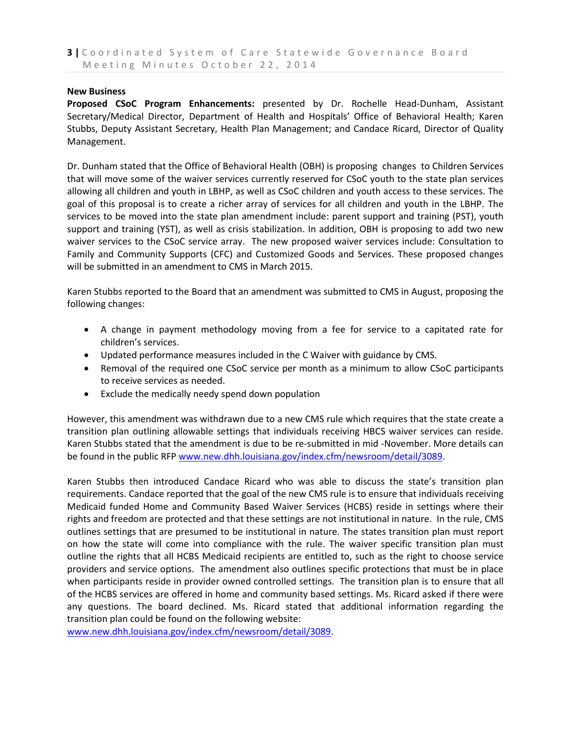#### **New Business**

**Proposed CSoC Program Enhancements:** presented by Dr. Rochelle Head-Dunham, Assistant Secretary/Medical Director, Department of Health and Hospitals' Office of Behavioral Health; Karen Stubbs, Deputy Assistant Secretary, Health Plan Management; and Candace Ricard, Director of Quality Management.

Dr. Dunham stated that the Office of Behavioral Health (OBH) is proposing changes to Children Services that will move some of the waiver services currently reserved for CSoC youth to the state plan services allowing all children and youth in LBHP, as well as CSoC children and youth access to these services. The goal of this proposal is to create a richer array of services for all children and youth in the LBHP. The services to be moved into the state plan amendment include: parent support and training (PST), youth support and training (YST), as well as crisis stabilization. In addition, OBH is proposing to add two new waiver services to the CSoC service array. The new proposed waiver services include: Consultation to Family and Community Supports (CFC) and Customized Goods and Services. These proposed changes will be submitted in an amendment to CMS in March 2015.

Karen Stubbs reported to the Board that an amendment was submitted to CMS in August, proposing the following changes:

- A change in payment methodology moving from a fee for service to a capitated rate for children's services.
- Updated performance measures included in the C Waiver with guidance by CMS.
- Removal of the required one CSoC service per month as a minimum to allow CSoC participants to receive services as needed.
- Exclude the medically needy spend down population

However, this amendment was withdrawn due to a new CMS rule which requires that the state create a transition plan outlining allowable settings that individuals receiving HBCS waiver services can reside. Karen Stubbs stated that the amendment is due to be re-submitted in mid -November. More details can be found in the public RFP [www.new.dhh.louisiana.gov/index.cfm/newsroom/detail/3089.](http://www.new.dhh.louisiana.gov/index.cfm/newsroom/detail/3089)

Karen Stubbs then introduced Candace Ricard who was able to discuss the state's transition plan requirements. Candace reported that the goal of the new CMS rule is to ensure that individuals receiving Medicaid funded Home and Community Based Waiver Services (HCBS) reside in settings where their rights and freedom are protected and that these settings are not institutional in nature. In the rule, CMS outlines settings that are presumed to be institutional in nature. The states transition plan must report on how the state will come into compliance with the rule. The waiver specific transition plan must outline the rights that all HCBS Medicaid recipients are entitled to, such as the right to choose service providers and service options. The amendment also outlines specific protections that must be in place when participants reside in provider owned controlled settings. The transition plan is to ensure that all of the HCBS services are offered in home and community based settings. Ms. Ricard asked if there were any questions. The board declined. Ms. Ricard stated that additional information regarding the transition plan could be found on the following website:

[www.new.dhh.louisiana.gov/index.cfm/newsroom/detail/3089.](http://www.new.dhh.louisiana.gov/index.cfm/newsroom/detail/3089)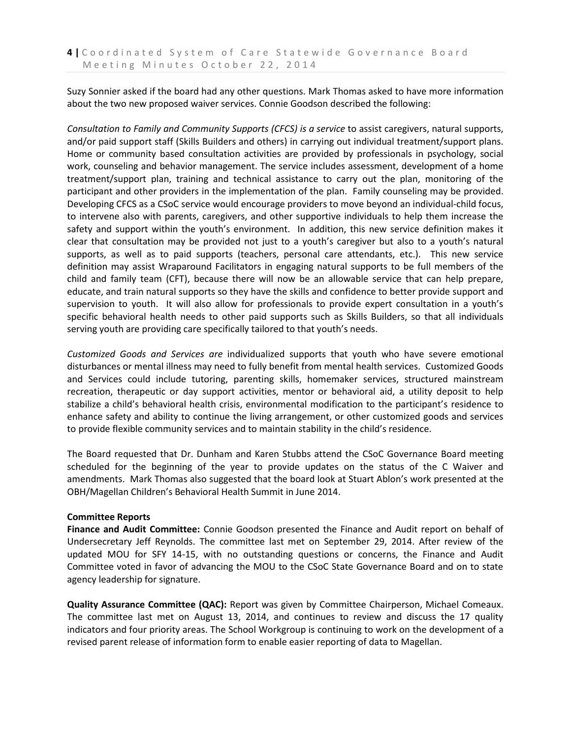Suzy Sonnier asked if the board had any other questions. Mark Thomas asked to have more information about the two new proposed waiver services. Connie Goodson described the following:

*Consultation to Family and Community Supports (CFCS) is a service* to assist caregivers, natural supports, and/or paid support staff (Skills Builders and others) in carrying out individual treatment/support plans. Home or community based consultation activities are provided by professionals in psychology, social work, counseling and behavior management. The service includes assessment, development of a home treatment/support plan, training and technical assistance to carry out the plan, monitoring of the participant and other providers in the implementation of the plan. Family counseling may be provided. Developing CFCS as a CSoC service would encourage providers to move beyond an individual-child focus, to intervene also with parents, caregivers, and other supportive individuals to help them increase the safety and support within the youth's environment. In addition, this new service definition makes it clear that consultation may be provided not just to a youth's caregiver but also to a youth's natural supports, as well as to paid supports (teachers, personal care attendants, etc.). This new service definition may assist Wraparound Facilitators in engaging natural supports to be full members of the child and family team (CFT), because there will now be an allowable service that can help prepare, educate, and train natural supports so they have the skills and confidence to better provide support and supervision to youth. It will also allow for professionals to provide expert consultation in a youth's specific behavioral health needs to other paid supports such as Skills Builders, so that all individuals serving youth are providing care specifically tailored to that youth's needs.

*Customized Goods and Services are* individualized supports that youth who have severe emotional disturbances or mental illness may need to fully benefit from mental health services. Customized Goods and Services could include tutoring, parenting skills, homemaker services, structured mainstream recreation, therapeutic or day support activities, mentor or behavioral aid, a utility deposit to help stabilize a child's behavioral health crisis, environmental modification to the participant's residence to enhance safety and ability to continue the living arrangement, or other customized goods and services to provide flexible community services and to maintain stability in the child's residence.

The Board requested that Dr. Dunham and Karen Stubbs attend the CSoC Governance Board meeting scheduled for the beginning of the year to provide updates on the status of the C Waiver and amendments. Mark Thomas also suggested that the board look at Stuart Ablon's work presented at the OBH/Magellan Children's Behavioral Health Summit in June 2014.

#### **Committee Reports**

**Finance and Audit Committee:** Connie Goodson presented the Finance and Audit report on behalf of Undersecretary Jeff Reynolds. The committee last met on September 29, 2014. After review of the updated MOU for SFY 14-15, with no outstanding questions or concerns, the Finance and Audit Committee voted in favor of advancing the MOU to the CSoC State Governance Board and on to state agency leadership for signature.

**Quality Assurance Committee (QAC):** Report was given by Committee Chairperson, Michael Comeaux. The committee last met on August 13, 2014, and continues to review and discuss the 17 quality indicators and four priority areas. The School Workgroup is continuing to work on the development of a revised parent release of information form to enable easier reporting of data to Magellan.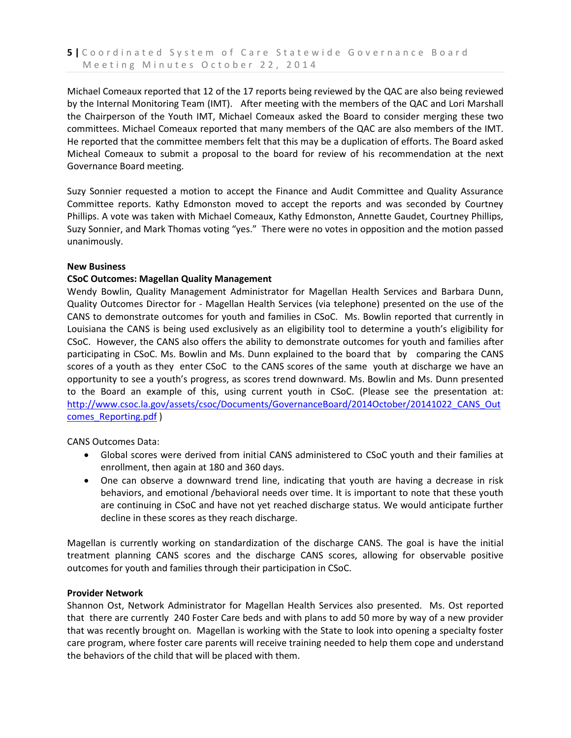Michael Comeaux reported that 12 of the 17 reports being reviewed by the QAC are also being reviewed by the Internal Monitoring Team (IMT). After meeting with the members of the QAC and Lori Marshall the Chairperson of the Youth IMT, Michael Comeaux asked the Board to consider merging these two committees. Michael Comeaux reported that many members of the QAC are also members of the IMT. He reported that the committee members felt that this may be a duplication of efforts. The Board asked Micheal Comeaux to submit a proposal to the board for review of his recommendation at the next Governance Board meeting.

Suzy Sonnier requested a motion to accept the Finance and Audit Committee and Quality Assurance Committee reports. Kathy Edmonston moved to accept the reports and was seconded by Courtney Phillips. A vote was taken with Michael Comeaux, Kathy Edmonston, Annette Gaudet, Courtney Phillips, Suzy Sonnier, and Mark Thomas voting "yes." There were no votes in opposition and the motion passed unanimously.

## **New Business**

## **CSoC Outcomes: Magellan Quality Management**

Wendy Bowlin, Quality Management Administrator for Magellan Health Services and Barbara Dunn, Quality Outcomes Director for - Magellan Health Services (via telephone) presented on the use of the CANS to demonstrate outcomes for youth and families in CSoC. Ms. Bowlin reported that currently in Louisiana the CANS is being used exclusively as an eligibility tool to determine a youth's eligibility for CSoC. However, the CANS also offers the ability to demonstrate outcomes for youth and families after participating in CSoC. Ms. Bowlin and Ms. Dunn explained to the board that by comparing the CANS scores of a youth as they enter CSoC to the CANS scores of the same youth at discharge we have an opportunity to see a youth's progress, as scores trend downward. Ms. Bowlin and Ms. Dunn presented to the Board an example of this, using current youth in CSoC. (Please see the presentation at: [http://www.csoc.la.gov/assets/csoc/Documents/GovernanceBoard/2014October/20141022\\_CANS\\_Out](http://www.csoc.la.gov/assets/csoc/Documents/GovernanceBoard/2014October/20141022_CANS_Outcomes_Reporting.pdf) [comes\\_Reporting.pdf](http://www.csoc.la.gov/assets/csoc/Documents/GovernanceBoard/2014October/20141022_CANS_Outcomes_Reporting.pdf) )

CANS Outcomes Data:

- Global scores were derived from initial CANS administered to CSoC youth and their families at enrollment, then again at 180 and 360 days.
- One can observe a downward trend line, indicating that youth are having a decrease in risk behaviors, and emotional /behavioral needs over time. It is important to note that these youth are continuing in CSoC and have not yet reached discharge status. We would anticipate further decline in these scores as they reach discharge.

Magellan is currently working on standardization of the discharge CANS. The goal is have the initial treatment planning CANS scores and the discharge CANS scores, allowing for observable positive outcomes for youth and families through their participation in CSoC.

#### **Provider Network**

Shannon Ost, Network Administrator for Magellan Health Services also presented. Ms. Ost reported that there are currently 240 Foster Care beds and with plans to add 50 more by way of a new provider that was recently brought on. Magellan is working with the State to look into opening a specialty foster care program, where foster care parents will receive training needed to help them cope and understand the behaviors of the child that will be placed with them.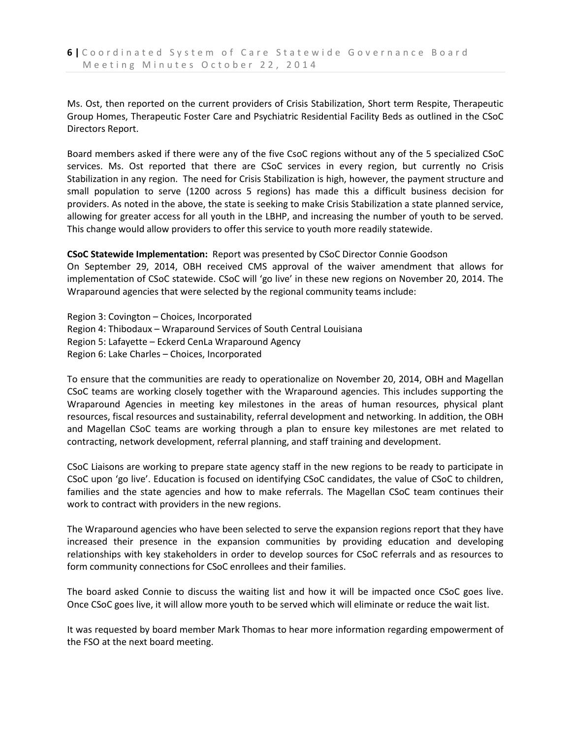Ms. Ost, then reported on the current providers of Crisis Stabilization, Short term Respite, Therapeutic Group Homes, Therapeutic Foster Care and Psychiatric Residential Facility Beds as outlined in the CSoC Directors Report.

Board members asked if there were any of the five CsoC regions without any of the 5 specialized CSoC services. Ms. Ost reported that there are CSoC services in every region, but currently no Crisis Stabilization in any region. The need for Crisis Stabilization is high, however, the payment structure and small population to serve (1200 across 5 regions) has made this a difficult business decision for providers. As noted in the above, the state is seeking to make Crisis Stabilization a state planned service, allowing for greater access for all youth in the LBHP, and increasing the number of youth to be served. This change would allow providers to offer this service to youth more readily statewide.

## **CSoC Statewide Implementation:** Report was presented by CSoC Director Connie Goodson

On September 29, 2014, OBH received CMS approval of the waiver amendment that allows for implementation of CSoC statewide. CSoC will 'go live' in these new regions on November 20, 2014. The Wraparound agencies that were selected by the regional community teams include:

Region 3: Covington – Choices, Incorporated Region 4: Thibodaux – Wraparound Services of South Central Louisiana Region 5: Lafayette – Eckerd CenLa Wraparound Agency Region 6: Lake Charles – Choices, Incorporated

To ensure that the communities are ready to operationalize on November 20, 2014, OBH and Magellan CSoC teams are working closely together with the Wraparound agencies. This includes supporting the Wraparound Agencies in meeting key milestones in the areas of human resources, physical plant resources, fiscal resources and sustainability, referral development and networking. In addition, the OBH and Magellan CSoC teams are working through a plan to ensure key milestones are met related to contracting, network development, referral planning, and staff training and development.

CSoC Liaisons are working to prepare state agency staff in the new regions to be ready to participate in CSoC upon 'go live'. Education is focused on identifying CSoC candidates, the value of CSoC to children, families and the state agencies and how to make referrals. The Magellan CSoC team continues their work to contract with providers in the new regions.

The Wraparound agencies who have been selected to serve the expansion regions report that they have increased their presence in the expansion communities by providing education and developing relationships with key stakeholders in order to develop sources for CSoC referrals and as resources to form community connections for CSoC enrollees and their families.

The board asked Connie to discuss the waiting list and how it will be impacted once CSoC goes live. Once CSoC goes live, it will allow more youth to be served which will eliminate or reduce the wait list.

It was requested by board member Mark Thomas to hear more information regarding empowerment of the FSO at the next board meeting.